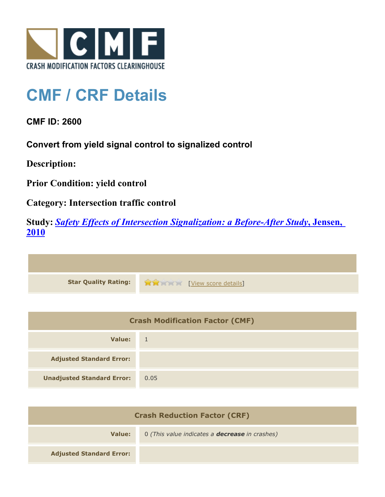

## **CMF / CRF Details**

**CMF ID: 2600**

**Convert from yield signal control to signalized control**

**Description:** 

**Prior Condition: yield control**

**Category: Intersection traffic control**

**Study:** *[Safety Effects of Intersection Signalization: a Before-After Study](http://www.cmfclearinghouse.org/study_detail.cfm?stid=170)***[, Jensen,](http://www.cmfclearinghouse.org/study_detail.cfm?stid=170) [2010](http://www.cmfclearinghouse.org/study_detail.cfm?stid=170)**



| <b>Crash Modification Factor (CMF)</b> |              |
|----------------------------------------|--------------|
| Value:                                 | $\mathbf{1}$ |
| <b>Adjusted Standard Error:</b>        |              |
| <b>Unadjusted Standard Error:</b>      | 0.05         |

| <b>Crash Reduction Factor (CRF)</b> |                                                       |
|-------------------------------------|-------------------------------------------------------|
| Value:                              | 0 (This value indicates a <b>decrease</b> in crashes) |
| <b>Adjusted Standard Error:</b>     |                                                       |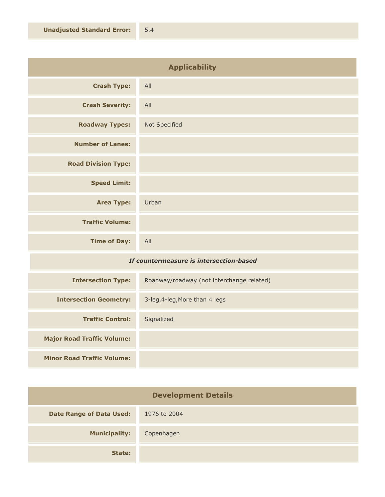| <b>Applicability</b>       |               |
|----------------------------|---------------|
| <b>Crash Type:</b>         | All           |
| <b>Crash Severity:</b>     | All           |
| <b>Roadway Types:</b>      | Not Specified |
| <b>Number of Lanes:</b>    |               |
| <b>Road Division Type:</b> |               |
| <b>Speed Limit:</b>        |               |
| <b>Area Type:</b>          | Urban         |
| <b>Traffic Volume:</b>     |               |
| <b>Time of Day:</b>        | All           |
|                            |               |

## *If countermeasure is intersection-based*

| <b>Intersection Type:</b>         | Roadway/roadway (not interchange related) |
|-----------------------------------|-------------------------------------------|
| <b>Intersection Geometry:</b>     | 3-leg, 4-leg, More than 4 legs            |
| <b>Traffic Control:</b>           | Signalized                                |
| <b>Major Road Traffic Volume:</b> |                                           |
| <b>Minor Road Traffic Volume:</b> |                                           |

| <b>Development Details</b>      |              |
|---------------------------------|--------------|
| <b>Date Range of Data Used:</b> | 1976 to 2004 |
| <b>Municipality:</b>            | Copenhagen   |
| State:                          |              |